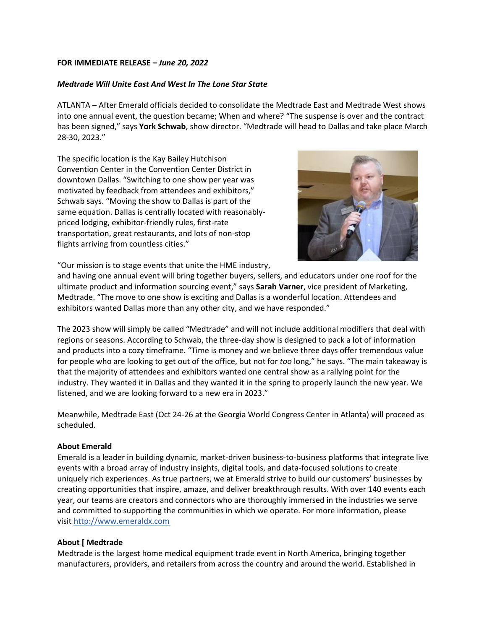## **FOR IMMEDIATE RELEASE** *– June 20, 2022*

## *Medtrade Will Unite East And West In The Lone Star State*

ATLANTA – After Emerald officials decided to consolidate the Medtrade East and Medtrade West shows into one annual event, the question became; When and where? "The suspense is over and the contract has been signed," says **York Schwab**, show director. "Medtrade will head to Dallas and take place March 28-30, 2023."

The specific location is the Kay Bailey Hutchison Convention Center in the Convention Center District in downtown Dallas. "Switching to one show per year was motivated by feedback from attendees and exhibitors," Schwab says. "Moving the show to Dallas is part of the same equation. Dallas is centrally located with reasonablypriced lodging, exhibitor-friendly rules, first-rate transportation, great restaurants, and lots of non-stop flights arriving from countless cities."



"Our mission is to stage events that unite the HME industry,

and having one annual event will bring together buyers, sellers, and educators under one roof for the ultimate product and information sourcing event," says **Sarah Varner**, vice president of Marketing, Medtrade. "The move to one show is exciting and Dallas is a wonderful location. Attendees and exhibitors wanted Dallas more than any other city, and we have responded."

The 2023 show will simply be called "Medtrade" and will not include additional modifiers that deal with regions or seasons. According to Schwab, the three-day show is designed to pack a lot of information and products into a cozy timeframe. "Time is money and we believe three days offer tremendous value for people who are looking to get out of the office, but not for *too* long," he says. "The main takeaway is that the majority of attendees and exhibitors wanted one central show as a rallying point for the industry. They wanted it in Dallas and they wanted it in the spring to properly launch the new year. We listened, and we are looking forward to a new era in 2023."

Meanwhile, Medtrade East (Oct 24-26 at the Georgia World Congress Center in Atlanta) will proceed as scheduled.

## **About Emerald**

Emerald is a leader in building dynamic, market-driven business-to-business platforms that integrate live events with a broad array of industry insights, digital tools, and data-focused solutions to create uniquely rich experiences. As true partners, we at Emerald strive to build our customers' businesses by creating opportunities that inspire, amaze, and deliver breakthrough results. With over 140 events each year, our teams are creators and connectors who are thoroughly immersed in the industries we serve and committed to supporting the communities in which we operate. For more information, please visit [http://www.emeraldx.com](http://www.emeraldx.com/)

## **About [ Medtrade**

Medtrade is the largest home medical equipment trade event in North America, bringing together manufacturers, providers, and retailers from across the country and around the world. Established in